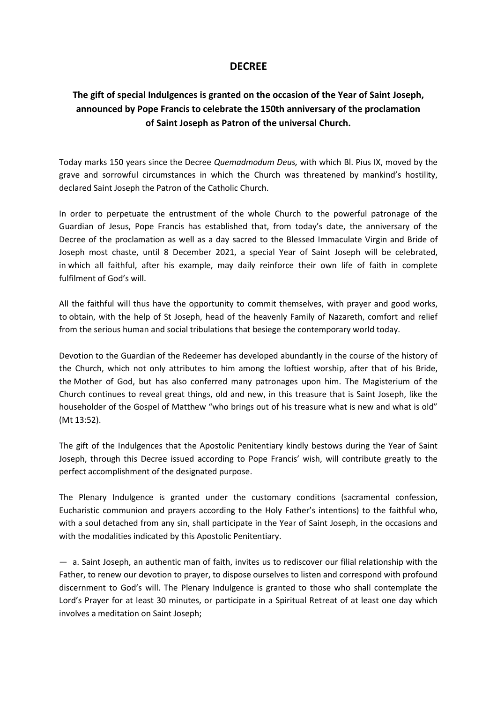## **DECREE**

## **The gift of special Indulgences is granted on the occasion of the Year of Saint Joseph, announced by Pope Francis to celebrate the 150th anniversary of the proclamation of Saint Joseph as Patron of the universal Church.**

Today marks 150 years since the Decree *Quemadmodum Deus,* with which Bl. Pius IX, moved by the grave and sorrowful circumstances in which the Church was threatened by mankind's hostility, declared Saint Joseph the Patron of the Catholic Church.

In order to perpetuate the entrustment of the whole Church to the powerful patronage of the Guardian of Jesus, Pope Francis has established that, from today's date, the anniversary of the Decree of the proclamation as well as a day sacred to the Blessed Immaculate Virgin and Bride of Joseph most chaste, until 8 December 2021, a special Year of Saint Joseph will be celebrated, in which all faithful, after his example, may daily reinforce their own life of faith in complete fulfilment of God's will.

All the faithful will thus have the opportunity to commit themselves, with prayer and good works, to obtain, with the help of St Joseph, head of the heavenly Family of Nazareth, comfort and relief from the serious human and social tribulations that besiege the contemporary world today.

Devotion to the Guardian of the Redeemer has developed abundantly in the course of the history of the Church, which not only attributes to him among the loftiest worship, after that of his Bride, the Mother of God, but has also conferred many patronages upon him. The Magisterium of the Church continues to reveal great things, old and new, in this treasure that is Saint Joseph, like the householder of the Gospel of Matthew "who brings out of his treasure what is new and what is old" (Mt 13:52).

The gift of the Indulgences that the Apostolic Penitentiary kindly bestows during the Year of Saint Joseph, through this Decree issued according to Pope Francis' wish, will contribute greatly to the perfect accomplishment of the designated purpose.

The Plenary Indulgence is granted under the customary conditions (sacramental confession, Eucharistic communion and prayers according to the Holy Father's intentions) to the faithful who, with a soul detached from any sin, shall participate in the Year of Saint Joseph, in the occasions and with the modalities indicated by this Apostolic Penitentiary.

— a. Saint Joseph, an authentic man of faith, invites us to rediscover our filial relationship with the Father, to renew our devotion to prayer, to dispose ourselves to listen and correspond with profound discernment to God's will. The Plenary Indulgence is granted to those who shall contemplate the Lord's Prayer for at least 30 minutes, or participate in a Spiritual Retreat of at least one day which involves a meditation on Saint Joseph;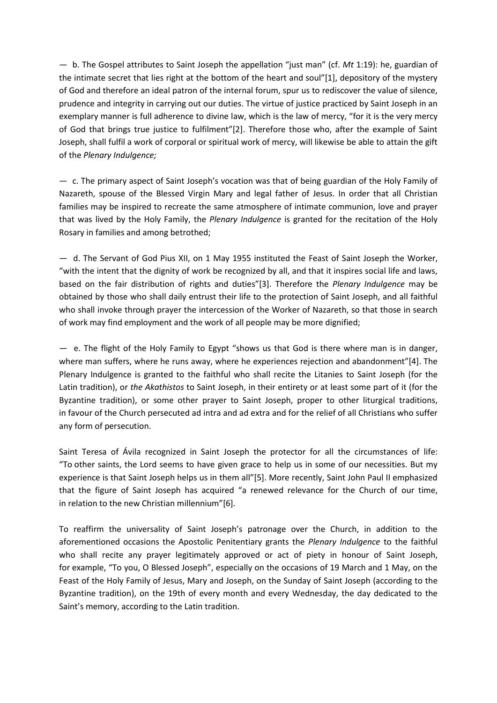— b. The Gospel attributes to Saint Joseph the appellation "just man" (cf. *Mt* 1:19): he, guardian of the intimate secret that lies right at the bottom of the heart and soul"[1], depository of the mystery of God and therefore an ideal patron of the internal forum, spur us to rediscover the value of silence, prudence and integrity in carrying out our duties. The virtue of justice practiced by Saint Joseph in an exemplary manner is full adherence to divine law, which is the law of mercy, "for it is the very mercy of God that brings true justice to fulfilment"[2]. Therefore those who, after the example of Saint Joseph, shall fulfil a work of corporal or spiritual work of mercy, will likewise be able to attain the gift of the *Plenary Indulgence;*

— c. The primary aspect of Saint Joseph's vocation was that of being guardian of the Holy Family of Nazareth, spouse of the Blessed Virgin Mary and legal father of Jesus. In order that all Christian families may be inspired to recreate the same atmosphere of intimate communion, love and prayer that was lived by the Holy Family, the *Plenary Indulgence* is granted for the recitation of the Holy Rosary in families and among betrothed;

— d. The Servant of God Pius XII, on 1 May 1955 instituted the Feast of Saint Joseph the Worker, "with the intent that the dignity of work be recognized by all, and that it inspires social life and laws, based on the fair distribution of rights and duties"[3]. Therefore the *Plenary Indulgence* may be obtained by those who shall daily entrust their life to the protection of Saint Joseph, and all faithful who shall invoke through prayer the intercession of the Worker of Nazareth, so that those in search of work may find employment and the work of all people may be more dignified;

— e. The flight of the Holy Family to Egypt "shows us that God is there where man is in danger, where man suffers, where he runs away, where he experiences rejection and abandonment"[4]. The Plenary Indulgence is granted to the faithful who shall recite the Litanies to Saint Joseph (for the Latin tradition), or *the Akathistos* to Saint Joseph, in their entirety or at least some part of it (for the Byzantine tradition), or some other prayer to Saint Joseph, proper to other liturgical traditions, in favour of the Church persecuted ad intra and ad extra and for the relief of all Christians who suffer any form of persecution.

Saint Teresa of Ávila recognized in Saint Joseph the protector for all the circumstances of life: "To other saints, the Lord seems to have given grace to help us in some of our necessities. But my experience is that Saint Joseph helps us in them all"[5]. More recently, Saint John Paul II emphasized that the figure of Saint Joseph has acquired "a renewed relevance for the Church of our time, in relation to the new Christian millennium"[6].

To reaffirm the universality of Saint Joseph's patronage over the Church, in addition to the aforementioned occasions the Apostolic Penitentiary grants the *Plenary Indulgence* to the faithful who shall recite any prayer legitimately approved or act of piety in honour of Saint Joseph, for example, "To you, O Blessed Joseph", especially on the occasions of 19 March and 1 May, on the Feast of the Holy Family of Jesus, Mary and Joseph, on the Sunday of Saint Joseph (according to the Byzantine tradition), on the 19th of every month and every Wednesday, the day dedicated to the Saint's memory, according to the Latin tradition.